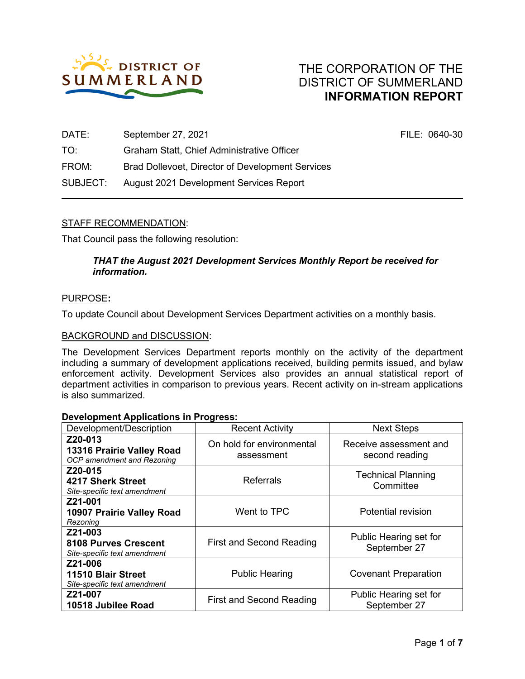

FILE: 0640-30

| DATE:    | September 27, 2021                                      |
|----------|---------------------------------------------------------|
| TO:      | Graham Statt, Chief Administrative Officer              |
| FROM:    | <b>Brad Dollevoet, Director of Development Services</b> |
| SUBJECT: | August 2021 Development Services Report                 |

## STAFF RECOMMENDATION:

That Council pass the following resolution:

### *THAT the August 2021 Development Services Monthly Report be received for information.*

### PURPOSE**:**

To update Council about Development Services Department activities on a monthly basis.

#### BACKGROUND and DISCUSSION:

The Development Services Department reports monthly on the activity of the department including a summary of development applications received, building permits issued, and bylaw enforcement activity. Development Services also provides an annual statistical report of department activities in comparison to previous years. Recent activity on in-stream applications is also summarized.

#### **Development Applications in Progress:**

| Development/Description                                            | <b>Recent Activity</b>                  | <b>Next Steps</b>                        |  |
|--------------------------------------------------------------------|-----------------------------------------|------------------------------------------|--|
| Z20-013<br>13316 Prairie Valley Road<br>OCP amendment and Rezoning | On hold for environmental<br>assessment | Receive assessment and<br>second reading |  |
| Z20-015<br>4217 Sherk Street<br>Site-specific text amendment       | <b>Referrals</b>                        | <b>Technical Planning</b><br>Committee   |  |
| Z21-001<br>10907 Prairie Valley Road<br>Rezoning                   | Went to TPC                             | Potential revision                       |  |
| Z21-003<br>8108 Purves Crescent<br>Site-specific text amendment    | <b>First and Second Reading</b>         | Public Hearing set for<br>September 27   |  |
| Z21-006<br>11510 Blair Street<br>Site-specific text amendment      | <b>Public Hearing</b>                   | <b>Covenant Preparation</b>              |  |
| Z21-007<br>10518 Jubilee Road                                      | <b>First and Second Reading</b>         | Public Hearing set for<br>September 27   |  |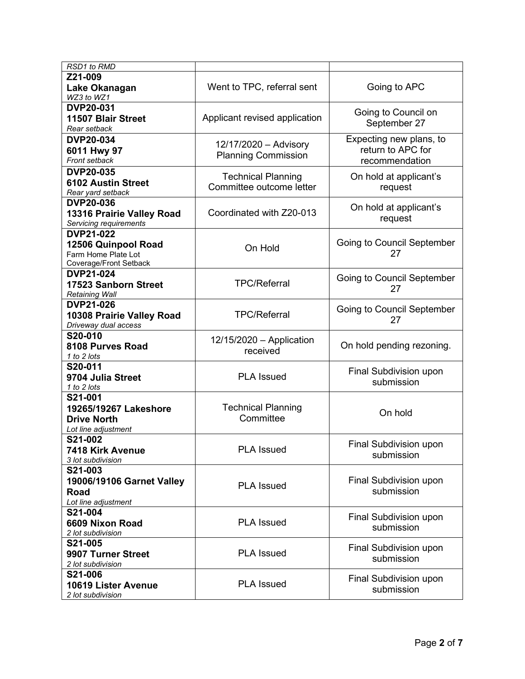| RSD1 to RMD                                       |                               |                                      |  |  |
|---------------------------------------------------|-------------------------------|--------------------------------------|--|--|
| Z21-009                                           |                               |                                      |  |  |
| Lake Okanagan                                     | Went to TPC, referral sent    | Going to APC                         |  |  |
| WZ3 to WZ1                                        |                               |                                      |  |  |
| <b>DVP20-031</b>                                  |                               | Going to Council on                  |  |  |
| 11507 Blair Street                                | Applicant revised application | September 27                         |  |  |
| Rear setback                                      |                               |                                      |  |  |
| <b>DVP20-034</b>                                  | 12/17/2020 - Advisory         | Expecting new plans, to              |  |  |
| 6011 Hwy 97                                       | <b>Planning Commission</b>    | return to APC for                    |  |  |
| Front setback                                     |                               | recommendation                       |  |  |
| <b>DVP20-035</b>                                  | <b>Technical Planning</b>     | On hold at applicant's               |  |  |
| <b>6102 Austin Street</b>                         | Committee outcome letter      |                                      |  |  |
| Rear yard setback                                 |                               | request                              |  |  |
| <b>DVP20-036</b>                                  |                               | On hold at applicant's<br>request    |  |  |
| 13316 Prairie Valley Road                         | Coordinated with Z20-013      |                                      |  |  |
| Servicing requirements                            |                               |                                      |  |  |
| <b>DVP21-022</b>                                  |                               |                                      |  |  |
| 12506 Quinpool Road                               | On Hold                       | Going to Council September           |  |  |
| Farm Home Plate Lot                               |                               | 27                                   |  |  |
| Coverage/Front Setback                            |                               |                                      |  |  |
| <b>DVP21-024</b>                                  | <b>TPC/Referral</b>           | Going to Council September<br>27     |  |  |
| 17523 Sanborn Street                              |                               |                                      |  |  |
| <b>Retaining Wall</b><br><b>DVP21-026</b>         |                               |                                      |  |  |
|                                                   | <b>TPC/Referral</b>           | Going to Council September<br>27     |  |  |
| 10308 Prairie Valley Road<br>Driveway dual access |                               |                                      |  |  |
| S20-010                                           |                               |                                      |  |  |
| 8108 Purves Road                                  | $12/15/2020 -$ Application    | On hold pending rezoning.            |  |  |
| 1 to 2 lots                                       | received                      |                                      |  |  |
| S20-011                                           |                               | Final Subdivision upon<br>submission |  |  |
| 9704 Julia Street                                 | <b>PLA Issued</b>             |                                      |  |  |
| 1 to 2 lots                                       |                               |                                      |  |  |
| S21-001                                           |                               |                                      |  |  |
| 19265/19267 Lakeshore                             | <b>Technical Planning</b>     | On hold                              |  |  |
| <b>Drive North</b>                                | Committee                     |                                      |  |  |
| Lot line adjustment                               |                               |                                      |  |  |
| S21-002                                           |                               | Final Subdivision upon               |  |  |
| 7418 Kirk Avenue                                  | <b>PLA Issued</b>             | submission                           |  |  |
| 3 lot subdivision                                 |                               |                                      |  |  |
| S21-003                                           |                               |                                      |  |  |
| 19006/19106 Garnet Valley                         | <b>PLA Issued</b>             | Final Subdivision upon<br>submission |  |  |
| Road                                              |                               |                                      |  |  |
| Lot line adjustment                               |                               |                                      |  |  |
| S21-004                                           |                               | Final Subdivision upon<br>submission |  |  |
| 6609 Nixon Road                                   | <b>PLA Issued</b>             |                                      |  |  |
| 2 lot subdivision                                 |                               |                                      |  |  |
| S21-005                                           |                               | Final Subdivision upon<br>submission |  |  |
| 9907 Turner Street                                | <b>PLA Issued</b>             |                                      |  |  |
| 2 lot subdivision                                 |                               |                                      |  |  |
| S21-006                                           | <b>PLA Issued</b>             | Final Subdivision upon<br>submission |  |  |
| 10619 Lister Avenue<br>2 lot subdivision          |                               |                                      |  |  |
|                                                   |                               |                                      |  |  |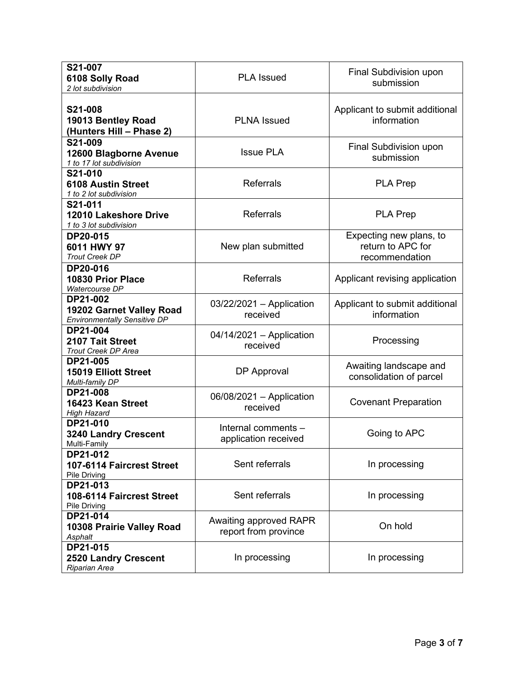| S21-007<br>6108 Solly Road<br>2 lot subdivision                                                    | <b>PLA Issued</b>                           | Final Subdivision upon<br>submission                           |  |
|----------------------------------------------------------------------------------------------------|---------------------------------------------|----------------------------------------------------------------|--|
| S21-008<br>19013 Bentley Road<br>(Hunters Hill - Phase 2)                                          | <b>PLNA</b> Issued                          | Applicant to submit additional<br>information                  |  |
| S21-009<br>12600 Blagborne Avenue<br>1 to 17 lot subdivision                                       | <b>Issue PLA</b>                            | Final Subdivision upon<br>submission                           |  |
| S21-010<br><b>6108 Austin Street</b><br>1 to 2 lot subdivision                                     | <b>Referrals</b>                            | <b>PLA Prep</b>                                                |  |
| S21-011<br>12010 Lakeshore Drive<br>1 to 3 lot subdivision                                         | <b>Referrals</b>                            | <b>PLA Prep</b>                                                |  |
| DP20-015<br>6011 HWY 97<br><b>Trout Creek DP</b>                                                   | New plan submitted                          | Expecting new plans, to<br>return to APC for<br>recommendation |  |
| DP20-016<br>10830 Prior Place<br>Watercourse DP                                                    | <b>Referrals</b>                            | Applicant revising application                                 |  |
| DP21-002<br>19202 Garnet Valley Road<br><b>Environmentally Sensitive DP</b>                        | $03/22/2021 - Application$<br>received      | Applicant to submit additional<br>information                  |  |
| DP21-004<br>2107 Tait Street<br><b>Trout Creek DP Area</b>                                         | $04/14/2021 -$ Application<br>received      | Processing                                                     |  |
| DP21-005<br>15019 Elliott Street<br>Multi-family DP                                                | DP Approval                                 | Awaiting landscape and<br>consolidation of parcel              |  |
| DP21-008<br>16423 Kean Street<br><b>High Hazard</b>                                                | 06/08/2021 - Application<br>received        | <b>Covenant Preparation</b>                                    |  |
| DP21-010<br>3240 Landry Crescent<br>Multi-Family                                                   | Internal comments -<br>application received | Going to APC                                                   |  |
| DP21-012<br>107-6114 Faircrest Street<br>Pile Driving                                              | Sent referrals                              | In processing                                                  |  |
| DP21-013<br>108-6114 Faircrest Street<br>Pile Driving                                              | Sent referrals                              | In processing                                                  |  |
| DP21-014<br>Awaiting approved RAPR<br>10308 Prairie Valley Road<br>report from province<br>Asphalt |                                             | On hold                                                        |  |
| DP21-015<br><b>2520 Landry Crescent</b><br>Riparian Area                                           | In processing                               | In processing                                                  |  |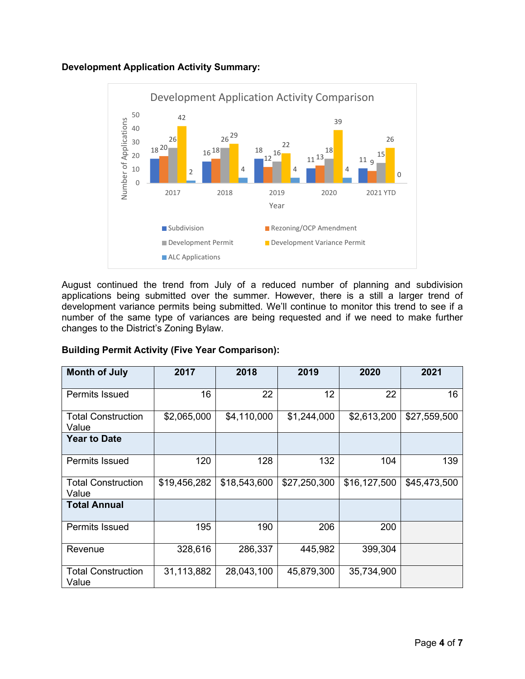## **Development Application Activity Summary:**



August continued the trend from July of a reduced number of planning and subdivision applications being submitted over the summer. However, there is a still a larger trend of development variance permits being submitted. We'll continue to monitor this trend to see if a number of the same type of variances are being requested and if we need to make further changes to the District's Zoning Bylaw.

## **Building Permit Activity (Five Year Comparison):**

| <b>Month of July</b>               | 2017         | 2018         | 2019         | 2020         | 2021         |
|------------------------------------|--------------|--------------|--------------|--------------|--------------|
| <b>Permits Issued</b>              | 16           | 22           | 12           | 22           | 16           |
| <b>Total Construction</b><br>Value | \$2,065,000  | \$4,110,000  | \$1,244,000  | \$2,613,200  | \$27,559,500 |
| <b>Year to Date</b>                |              |              |              |              |              |
| <b>Permits Issued</b>              | 120          | 128          | 132          | 104          | 139          |
| <b>Total Construction</b><br>Value | \$19,456,282 | \$18,543,600 | \$27,250,300 | \$16,127,500 | \$45,473,500 |
| <b>Total Annual</b>                |              |              |              |              |              |
| <b>Permits Issued</b>              | 195          | 190          | 206          | 200          |              |
| Revenue                            | 328,616      | 286,337      | 445,982      | 399,304      |              |
| <b>Total Construction</b><br>Value | 31,113,882   | 28,043,100   | 45,879,300   | 35,734,900   |              |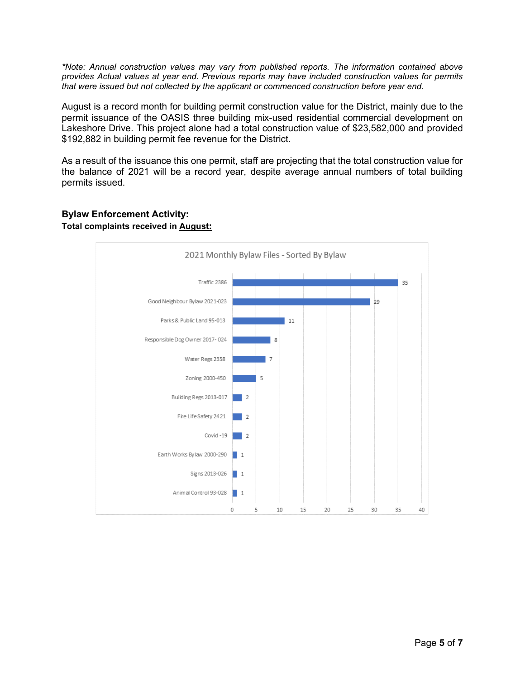*\*Note: Annual construction values may vary from published reports. The information contained above provides Actual values at year end. Previous reports may have included construction values for permits that were issued but not collected by the applicant or commenced construction before year end.*

August is a record month for building permit construction value for the District, mainly due to the permit issuance of the OASIS three building mix-used residential commercial development on Lakeshore Drive. This project alone had a total construction value of \$23,582,000 and provided \$192,882 in building permit fee revenue for the District.

As a result of the issuance this one permit, staff are projecting that the total construction value for the balance of 2021 will be a record year, despite average annual numbers of total building permits issued.



# **Bylaw Enforcement Activity: Total complaints received in August:**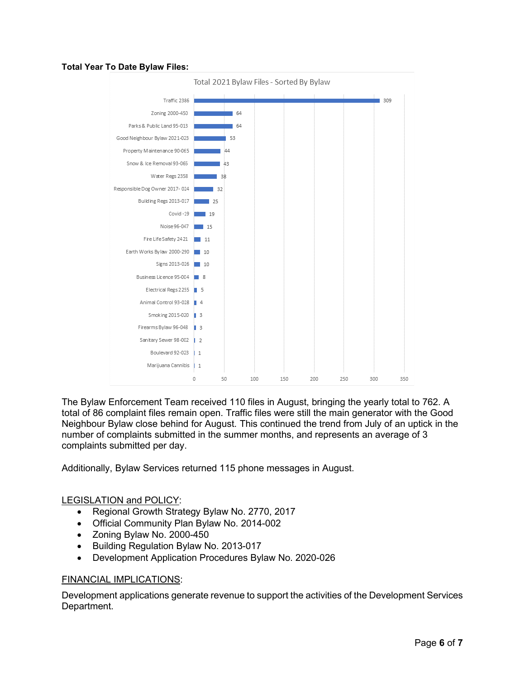### **Total Year To Date Bylaw Files:**



The Bylaw Enforcement Team received 110 files in August, bringing the yearly total to 762. A total of 86 complaint files remain open. Traffic files were still the main generator with the Good Neighbour Bylaw close behind for August. This continued the trend from July of an uptick in the number of complaints submitted in the summer months, and represents an average of 3 complaints submitted per day.

Additionally, Bylaw Services returned 115 phone messages in August.

## LEGISLATION and POLICY:

- Regional Growth Strategy Bylaw No. 2770, 2017
- Official Community Plan Bylaw No. 2014-002
- Zoning Bylaw No. 2000-450
- Building Regulation Bylaw No. 2013-017
- Development Application Procedures Bylaw No. 2020-026

### FINANCIAL IMPLICATIONS:

Development applications generate revenue to support the activities of the Development Services Department.